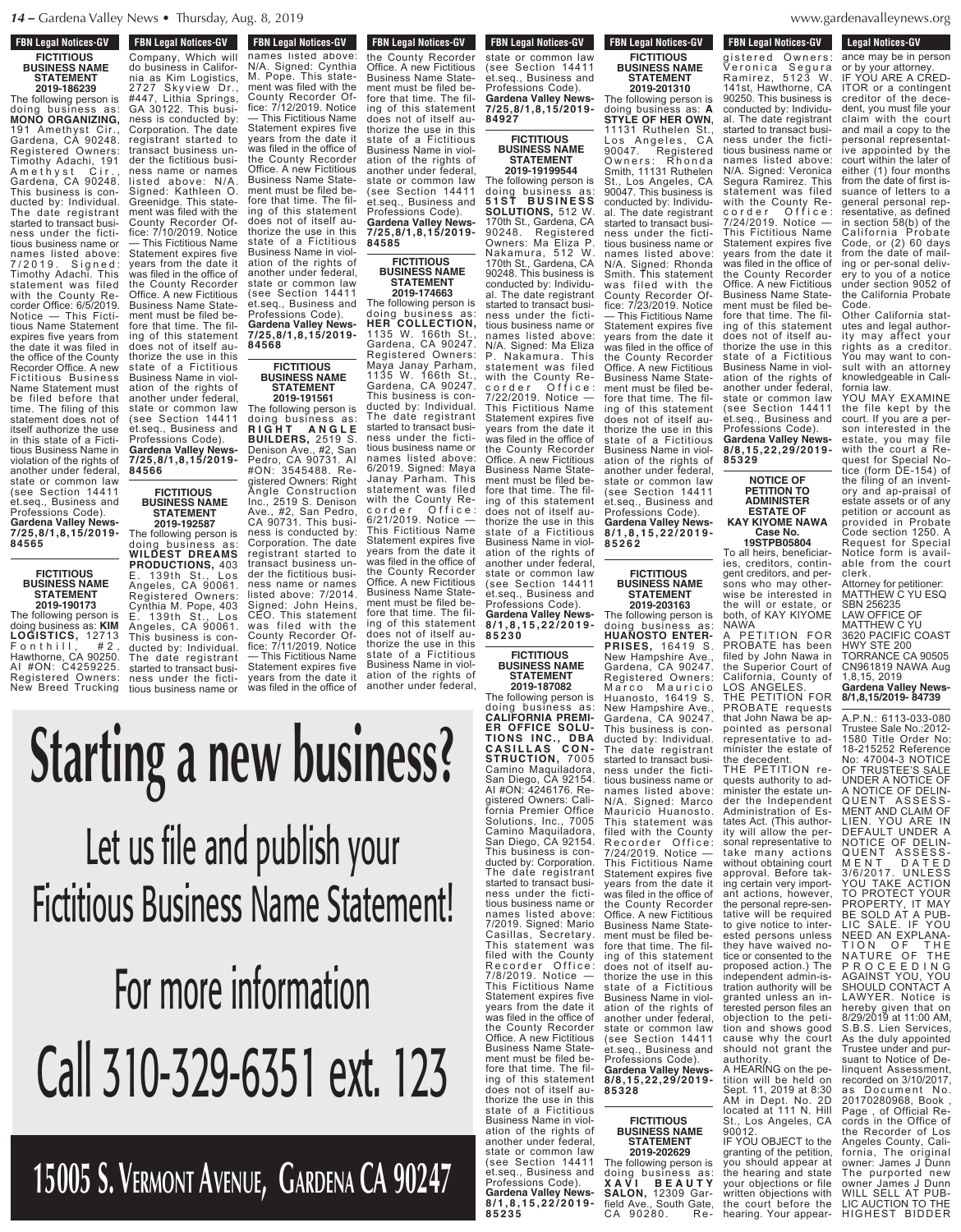**FBN Legal Notices-GV** 

**TRUCKING TRUCK**<br>TRUCKLESS TRUCKLESS TRUCKLESS TRUCKLESS TRUCKLESS TRUCKLESS TRUCKLESS TRUCKLESS TRUCKLESS TRUCKLESS TRUCKLESS TRUCKLESS TRUCKLESS TRUCKLESS TRUCKLESS TRUCKLESS TRUCKLESS TRUCKLESS TRUCKLESS TRUCKLESS TRUCK Company, Which will

**FBN Legal Notices-GV FICTITIOUS BUSINESS NAME STATEMENT 2019-186239**

The following person is doing business as: **MONO ORGANIZING,** 191 Amethyst Cir., Gardena, CA 90248. Registered Owners: Timothy Adachi, 191<br>A m e th v s t Cir., A m e thy s t Cir., Gardena, CA 90248. This business is conducted by: Individual. The date registrant started to transact business under the fictitious business name or names listed above: 7 / 2 0 1 9 . S i g n e d : Timothy Adachi. This statement was filed with the County Recorder Office: 6/5/2019. Notice — This Fictitious Name Statement expires five years from the date it was filed in the office of the County Recorder Office. A new Fictitious Business Name Statement must be filed before that time. The filing of this statement does not of itself authorize the use in this state of a Fictitious Business Name in violation of the rights of another under federal, state or common law (see Section 14411 et.seq., Business and Professions Code). **Gardena Valley News-7/25,8/1,8,15/2019- 84565**

> **FICTITIOUS BUSINESS NAME STATEMENT 2019-190173**

**84566**

**FICTITIOUS**

**STATEMENT 2019-192587**

The following person is doing business as: **KIM LOGISTICS,** 12713  $\begin{array}{ccc} \text{{\small\textsf{F}}} \text{{\small\textsf{on}}} \text{{\small\textsf{th}}} \text{{\small\textsf{ill}}}\,, & & \text{{\small\#}} \text{{\small 2}}\,, \end{array}$ Hawthorne, CA 90250. AI #ON: C4259225. Registered Owners: New Breed Trucking

do business in California and California and California and California and California and California and California

**BUSINESS NAME** do business in California as Kim Logistics, 2727 Skyview Dr., #447, Lithia Springs, GA 30122. This business is conducted by: Corporation. The date registrant started to transact business under the fictitious business name or names listed above: N/A. Signed: Kathleen O. Greenidge. This statement was filed with the County Recorder Office: 7/10/2019. Notice — This Fictitious Name Statement expires five years from the date it was filed in the office of the County Recorder Office. A new Fictitious Business Name Statement must be filed before that time. The filing of this statement does not of itself authorize the use in this state of a Fictitious Business Name in violation of the rights of another under federal, state or common law (see Section 14411 et.seq., Business and

**FBN Legal Notices-GV FBN Legal Notices-GV** names listed above: N/A. Signed: Cynthia M. Pope. This statement was filed with the County Recorder Office: 7/12/2019. Notice — This Fictitious Name Statement expires five years from the date it was filed in the office of the County Recorder Office. A new Fictitious Business Name Statement must be filed before that time. The filing of this statement does not of itself authorize the use in this state of a Fictitious Business Name in violation of the rights of another under federal, state or common law (see Section 14411 et.seq., Business and Professions Code). **Gardena Valley News-**

**7/25,8/1,8,15/2019- 84568 FICTITIOUS**

**STATEMENT**

**2019-191561** The following person is doing business as: **R I G H T A N G L E BUILDERS,** 2519 S. Denison Ave., #2, San Pedro, CA 90731. AI #ON: 3545488. Registered Owners: Right Angle Construction Inc., 2519 S. Denison Ave., #2, San Pedro, CA 90731. This business is conducted by: Corporation. The date registrant started to transact business under the fictitious business name or names listed above: 7/2014. Signed: John Heins, CEO. This statement was filed with the County Recorder Office: 7/11/2019. Notice — This Fictitious Name Statement expires five years from the date it was filed in the office of Professions Code). **Gardena Valley News-7/25,8/1,8,15/2019- BUSINESS NAME** The following person is doing business as: **WILDEST DREAMS PRODUCTIONS,** 403 E. 139th St., Los Angeles, CA 90061. Registered Owners: Cynthia M. Pope, 403 E. 139th St., Los Angeles, CA 90061. This business is conducted by: Individual. The date registrant started to transact business under the fictitious business name or

**FBN Legal Notices-GV FILED IN LEGAL INDICES-CIV** the County Recorder Office. A new Fictitious Business Name Statement must be filed before that time. The filing of this statement does not of itself authorize the use in this state of a Fictitious Business Name in violation of the rights of another under federal, state or common law (see Section 14411 et.seq., Business and Professions Code). **Gardena Valley News-**

> **FICTITIOUS BUSINESS NAME STATEMENT**

**7/25,8/1,8,15/2019-**

**84585**

**2019-174663** The following person is doing business as: **HER COLLECTION,** 1135 W. 166th St., Gardena, CA 90247. Registered Owners: Maya Janay Parham, 1135 W. 166th St., Gardena, CA 90247. This business is conducted by: Individual. The date registrant started to transact business under the fictitious business name or names listed above: 6/2019. Signed: Maya Janay Parham. This statement was filed with the County Recorder Office: 6/21/2019. Notice — This Fictitious Name Statement expires five years from the date it was filed in the office of the County Recorder Office. A new Fictitious Business Name Statement must be filed before that time. The filing of this statement does not of itself authorize the use in this state of a Fictitious Business Name in violation of the rights of another under federal,

(see Section 1441)

**FBN Legal Notices-GV FON LEGAL NUTTLES-CIV** state or common law (see Section 14411 et.seq., Business and Professions Code). **Gardena Valley News-7/25,8/1,8,15/2019-**

**84927 FICTITIOUS BUSINESS NAME STATEMENT**

**8 / 1 , 8 , 1 5 , 2 2 / 2 0 1 9 - 8 5 2 6 2 2019-19199544** The following person is doing business as: **5 1 S T B U S I N E S S SOLUTIONS,** 512 W. 170th St., Gardena, CA<br>90248 Registered 90248. Registered Owners: Ma Eliza P. Nakamura, 512 W. 170th St., Gardena, CA 90248. This business is conducted by: Individu-The date registrant started to transact business under the fictitious business name or names listed above: N/A. Signed: Ma Eliza P. Nakamura. This statement was filed with the County Recorder Office: 7/22/2019. Notice — This Fictitious Name Statement expires five years from the date it was filed in the office of the County Recorder Office. A new Fictitious Business Name Statement must be filed before that time. The filing of this statement does not of itself authorize the use in this state of a Fictitious Business Name in violation of the rights of another under federal, state or common law (see Section 14411 et.seq., Business and Professions Code).

**8 / 1 , 8 , 1 5 , 2 2 / 2 0 1 9 - 8 5 2 3 0 FICTITIOUS**

**Gardena Valley News-**

**BUSINESS NAME STATEMENT 2019-187082** The following person is

doing business as: **CALIFORNIA PREMI-ER OFFICE SOLU-TIONS INC., DBA C A S I L L A S C O N - STRUCTION,** 7005 Camino Maquiladora, San Diego, CA 92154. AI #ON: 4246176. Registered Owners: California Premier Office Solutions, Inc., 7005 Camino Maquiladora, San Diego, CA 92154. This business is conducted by: Corporation. The date registrant started to transact business under the fictitious business name or names listed above: 7/2019. Signed: Mario Casillas, Secretary. This statement was filed with the County Recorder Office: 7/8/2019. Notice — This Fictitious Name Statement expires five years from the date it was filed in the office of the County Recorder Office. A new Fictitious Business Name Statement must be filed before that time. The filing of this statement does not of itself authorize the use in this state of a Fictitious Business Name in violation of the rights of another under federal,<br>state or common law (see Section 14411 et.seq., Business and Professions Code). **Gardena Valley News-**

**8 / 1 , 8 , 1 5 , 2 2 / 2 0 1 9 - 8 5 2 3 5**

**FBN Legal Notices-GV FICTITIOUS BUSINESS NAME STATEMENT**

**2019-201310**

Business Name in viol-The following person is doing business as: **A STYLE OF HER OWN,** 11131 Ruthelen St.,<br>Los Angeles, CA Los Angeles, CA 90047. Registered Owners: Rhonda Smith, 11131 Ruthelen St., Los Angeles, CA 90047. This business is conducted by: Individu-<br>all The date registrant The date registrant started to transact business under the fictitious business name or names listed above: N/A. Signed: Rhonda Smith. This statement was filed with the County Recorder Office: 7/23/2019. Notice — This Fictitious Name Statement expires five years from the date it was filed in the office of the County Recorder Office. A new Fictitious Business Name Statement must be filed before that time. The filing of this statement does not of itself authorize the use in this state of a Fictitious Business Name in violation of the rights of another under federal, state or common law (see Section 14411 et.seq., Business and Professions Code). **Gardena Valley News-**

**FICTITIOUS BUSINESS NAME STATEMENT**

**2019-203163** The following person is

doing business as: **HUANOSTO ENTER-PRISES,** 16419 S. New Hampshire Gardena, CA 90247. Registered Owners: Marco Mauricio Huanosto, 16419 S. New Hampshire Ave., Gardena, CA 90247. This business is conducted by: Individual. The date registrant started to transact business under the fictitious business name or names listed above: N/A. Signed: Marco Mauricio Huanosto. This statement was filed with the County Recorder Office: 7/24/2019. Notice — This Fictitious Name Statement expires five years from the date it was filed in the office of the County Recorder Office. A new Fictitious Business Name Statement must be filed be fore that time. The filing of this statement does not of itself authorize the use in this state of a Fictitious Business Name in violation of the rights of another under federal, state or common law (see Section 14411 et.seq., Business and Professions Code). **Gardena Valley News-8/8,15,22,29/2019- 85328**

# **FICTITIOUS BUSINESS NAME STATEMENT**

granting of the petition, you should appear at the hearing and state your objections or file written objections with the court before the hearing. Your appear-<br> **2019-202629** The following person is doing business as: **X A V I B E A U T Y SALON,** 12309 Garfield Ave., South Gate, CA 90280. Re-

### denavalleynews org webitan opinions with with the set of the set of the set of the set of the set of the set of the set of the set of the set of the set of the set of the set of the set of the set of the set of the set of the set of the set  $W$ *M*  $\cup$  **D**  $\subseteq$ **SALON, 12309**

**Legal Notices-GV Legal Nutries-GV** ance may be in person or by your attorney. IF YOU ARE A CRED-ITOR or a contingent creditor of the decedent, you must file your claim with the court and mail a copy to the personal representative appointed by the court within the later of either (1) four months from the date of first issuance of letters to a general personal representative, as defined in section 58(b) of the Cal ifornia Probate Code, or (2) 60 days from the date of mailing or per-sonal delivery to you of a notice under section 9052 of the California Probate Code. Other California stat-**FBN Legal Notices-GV CA 90281 FOR LEGAL MULLES-CIV** gistered Owners: Veronica Segura Ramirez, 5123 W. 141st, Hawthorne, CA 90250. This business is conducted by: Individual. The date registrant started to transact business under the fictitious business name or names listed above: N/A. Signed: Veronica Segura Ramirez. This statement was filed with the County Recorder Office: 7/24/2019. Notice — This Fictitious Name Statement expires five years from the date it was filed in the office of the County Recorder Office. A new Fictitious Business Name Statement must be filed before that time. The filing of this statement does not of itself au-

utes and legal authority may affect your rights as a creditor. You may want to consult with an attorney knowledgeable in California law.

thorize the use in this state of a Fictitious

ation of the rights of another under federal, state or common law (see Section 14411 et.seq., Business and Professions Code). **Gardena Valley News-8/8,15,22,29/2019-**

**NOTICE OF PETITION TO ADMINISTER ESTATE OF KAY KIYOME NAWA Case No. 19STPB05804** To all heirs, beneficiaries, creditors, contingent creditors, and persons who may otherwise be interested in the will or estate, or both, of KAY KIYOME

**85329**

NAWA

authority

90012.

A HEARING on the petition will be held on Sept. 11, 2019 at 8:30 AM in Dept. No. 2D located at 111 N. Hill St., Los Angeles, CA

IF YOU OBJECT to the

LOS ANGELES. THE PETITION FOR PROBATE requests that John Nawa be appointed as personal representative to administer the estate of the decedent. THE PETITION requests authority to administer the estate under the Independent Administration of Estates Act. (This authority will allow the personal representative to take many actions without obtaining court approval. Before taking certain very important actions, however, the personal repre-sentative will be required to give notice to interested persons unless they have waived notice or consented to the proposed action.) The independent admin-istration authority will be granted unless an interested person files an objection to the petition and shows good cause why the court should not grant the

YOU MAY EXAMINE the file kept by the court. If you are a person interested in the estate, you may file with the court a Request for Special Notice (form DE-154) of the filing of an inventory and ap-praisal of estate assets or of any petition or account as provided in Probate Code section 1250. A Request for Special Notice form is available from the court clerk.

Attorney for petitioner: MATTHEW C YU ESQ SBN 256235

LAW OFFICE OF MATTHEW C YU

3620 PACIFIC COAST HWY STE 200 TORRANCE CA 90505 CN961819 NAWA Aug 1,8,15, 2019 **Gardena Valley News-**A PETITION FOR PROBATE has been filed by John Nawa in the Superior Court of California, County of

**8/1,8,15/2019- 84739**

A.P.N.: 6113-033-080 Trustee Sale No.:2012- 1580 Title Order No: 18-215252 Reference No: 47004-3 NOTICE OF TRUSTEE'S SALE UNDER A NOTICE OF A NOTICE OF DELIN-QUENT ASSESS-MENT AND CLAIM OF LIEN. YOU ARE IN DEFAULT UNDER A NOTICE OF DELIN-QUENT ASSESS-M E N T D A T E D 3/6/2017. UNLESS YOU TAKE ACTION TO PROTECT YOUR PROPERTY, IT MAY BE SOLD AT A PUB-LIC SALE. IF YOU NEED AN EXPLANA-TION OF THE NATURE OF THE P R O C E E D I N G AGAINST YOU, YOU SHOULD CONTACT A LAWYER. Notice is hereby given that on 8/29/2019 at 11:00 AM, S.B.S. Lien Services, As the duly appointed Trustee under and pursuant to Notice of Delinquent Assessment, recorded on 3/10/2017 as Document No. 20170280968, Book , Page , of Official Records in the Office of the Recorder of Los Angeles County, California, The original owner: James J Dunn

The purported new owner James J Dunn WILL SELL AT PUB-LIC AUCTION TO THE HIGHEST BIDDER

#### Professions Code). **Gardena Valley News-7/25,8/1,8,15/2019- 84927** Business Name Statement must be filed before that time. The filing and the third of the third of the third of the third of the third of the third of the third of the third o does not of itself au-. VV III USI  $\mathbf{v}$   $\mathbf{v}$   $\mathbf{v}$ County Recorder Ofna na — This Fictitious Name IS A IN  $\mathbf{y}$  and  $\mathbf{y}$ was filed in the office of  $\mathbf{U}$ the County Recorder nia as Kim Logistics,  $2727$ 447, Lithia Springs, Lit GA 3012 ness is conducted by: Corporation. The date of the date of the date of the date of the date of the date of the date of the date of t registrant started to the contract of the contract of the contract of the contract of the contract of the contract of the contract of the contract of the contract of the contract of the contract of the contract of the cont **Starting a new business?**

state or common law (see Section 14411 en. Business and Professions Code). **Gardena Valley News-7/25,8/1,8,15/2019** s Rusiness Na Business Name State- $\mathbf{m}$  . The set fore that time. The filus ille aill do no dits ander u Signed: Kathleen O. Greenidge. This statement was filed with the County Recorder Of**fice: 7/10/2019. Notice: 7/10/2019. Notice: 7/10/2019. Notice: 7/10/2019. Notice: 7/10/2019. Notice: 7/10/2019**  $\sim$  100  $\pm$  100  $\pm$  100  $\pm$  100  $\pm$  $\Box$ Statisticali **FICULIOU FICULIOUS BUSINESS NAME STATEMENT!** 

## Professions Code). **Gardena Valley News-7/25,8/1,8,15/2019- 84568** For more information fore that time. The filing of this statement does not of itself authorize the use in this state of a Fictitious another under federal,  $\sim$  common law  $\blacksquare$  (see Section 1441) et.seq., Business and Professions Code). **Gardena Valley News-7/25,8/1,8,15/2019-** Call 310-329-6351 ext. 123

**15005 S. Vermont Avenue, Gardena CA 90247**